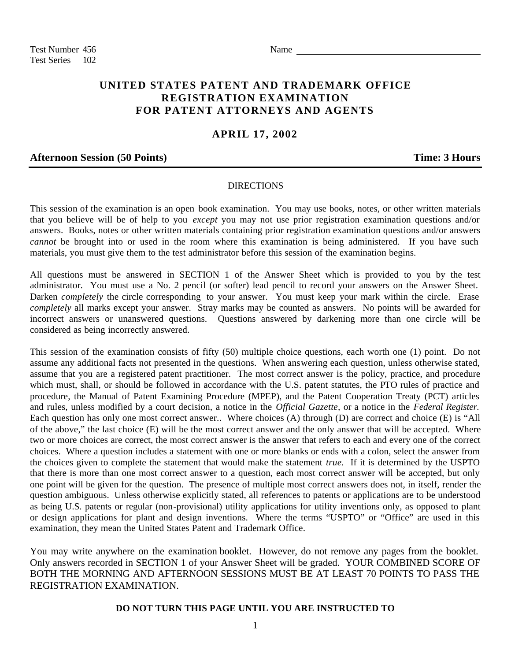Test Number 456 Name Test Series 102

# **UNITED STATES PATENT AND TRADEMARK OFFICE REGISTRATION EXAMINATION FOR PATENT ATTORNEYS AND AGENTS**

## **APRIL 17, 2002**

### **Afternoon Session (50 Points) Time: 3 Hours**

#### DIRECTIONS

This session of the examination is an open book examination. You may use books, notes, or other written materials that you believe will be of help to you *except* you may not use prior registration examination questions and/or answers. Books, notes or other written materials containing prior registration examination questions and/or answers *cannot* be brought into or used in the room where this examination is being administered. If you have such materials, you must give them to the test administrator before this session of the examination begins.

All questions must be answered in SECTION 1 of the Answer Sheet which is provided to you by the test administrator. You must use a No. 2 pencil (or softer) lead pencil to record your answers on the Answer Sheet. Darken *completely* the circle corresponding to your answer. You must keep your mark within the circle. Erase *completely* all marks except your answer. Stray marks may be counted as answers. No points will be awarded for incorrect answers or unanswered questions. Questions answered by darkening more than one circle will be considered as being incorrectly answered.

This session of the examination consists of fifty (50) multiple choice questions, each worth one (1) point. Do not assume any additional facts not presented in the questions. When answering each question, unless otherwise stated, assume that you are a registered patent practitioner. The most correct answer is the policy, practice, and procedure which must, shall, or should be followed in accordance with the U.S. patent statutes, the PTO rules of practice and procedure, the Manual of Patent Examining Procedure (MPEP), and the Patent Cooperation Treaty (PCT) articles and rules, unless modified by a court decision, a notice in the *Official Gazette,* or a notice in the *Federal Register.* Each question has only one most correct answer.. Where choices (A) through (D) are correct and choice (E) is "All of the above," the last choice (E) will be the most correct answer and the only answer that will be accepted. Where two or more choices are correct, the most correct answer is the answer that refers to each and every one of the correct choices. Where a question includes a statement with one or more blanks or ends with a colon, select the answer from the choices given to complete the statement that would make the statement *true.* If it is determined by the USPTO that there is more than one most correct answer to a question, each most correct answer will be accepted, but only one point will be given for the question. The presence of multiple most correct answers does not, in itself, render the question ambiguous. Unless otherwise explicitly stated, all references to patents or applications are to be understood as being U.S. patents or regular (non-provisional) utility applications for utility inventions only, as opposed to plant or design applications for plant and design inventions. Where the terms "USPTO" or "Office" are used in this examination, they mean the United States Patent and Trademark Office.

You may write anywhere on the examination booklet. However, do not remove any pages from the booklet. Only answers recorded in SECTION 1 of your Answer Sheet will be graded. YOUR COMBINED SCORE OF BOTH THE MORNING AND AFTERNOON SESSIONS MUST BE AT LEAST 70 POINTS TO PASS THE REGISTRATION EXAMINATION.

#### **DO NOT TURN THIS PAGE UNTIL YOU ARE INSTRUCTED TO**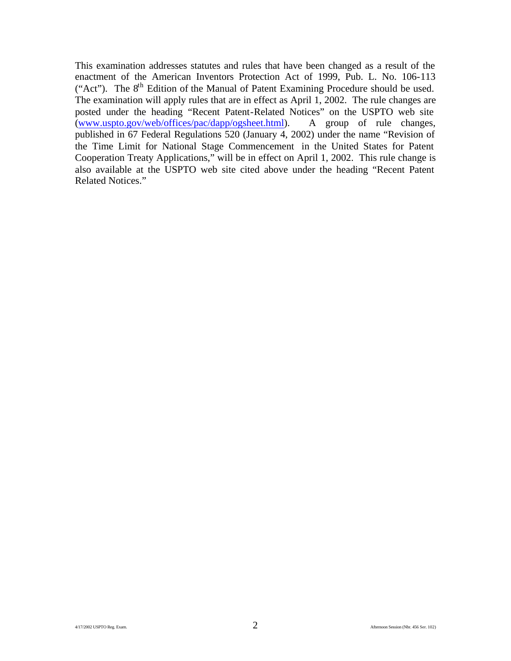This examination addresses statutes and rules that have been changed as a result of the enactment of the American Inventors Protection Act of 1999, Pub. L. No. 106-113 ("Act"). The  $8<sup>th</sup>$  Edition of the Manual of Patent Examining Procedure should be used. The examination will apply rules that are in effect as April 1, 2002. The rule changes are posted under the heading "Recent Patent-Related Notices" on the USPTO web site (www.uspto.gov/web/offices/pac/dapp/ogsheet.html). A group of rule changes,  $(www.uspto.gov/web/offices/pac/dapp/ogsheet.html).$ published in 67 Federal Regulations 520 (January 4, 2002) under the name "Revision of the Time Limit for National Stage Commencement in the United States for Patent Cooperation Treaty Applications," will be in effect on April 1, 2002. This rule change is also available at the USPTO web site cited above under the heading "Recent Patent Related Notices."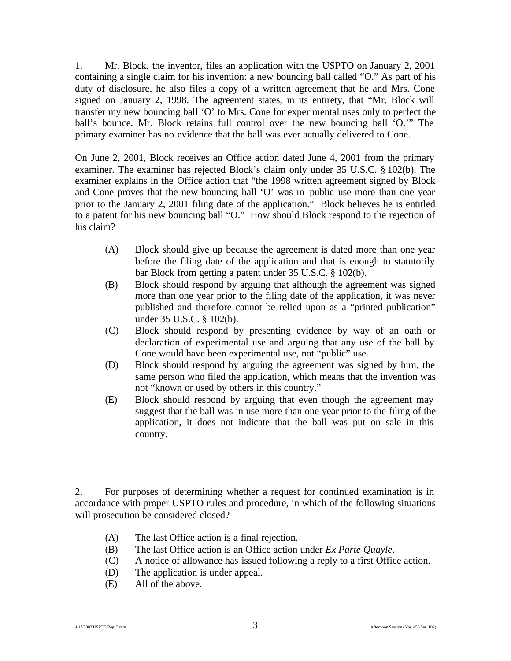1. Mr. Block, the inventor, files an application with the USPTO on January 2, 2001 containing a single claim for his invention: a new bouncing ball called "O." As part of his duty of disclosure, he also files a copy of a written agreement that he and Mrs. Cone signed on January 2, 1998. The agreement states, in its entirety, that "Mr. Block will transfer my new bouncing ball 'O' to Mrs. Cone for experimental uses only to perfect the ball's bounce. Mr. Block retains full control over the new bouncing ball 'O.'" The primary examiner has no evidence that the ball was ever actually delivered to Cone.

On June 2, 2001, Block receives an Office action dated June 4, 2001 from the primary examiner. The examiner has rejected Block's claim only under 35 U.S.C. § 102(b). The examiner explains in the Office action that "the 1998 written agreement signed by Block and Cone proves that the new bouncing ball 'O' was in public use more than one year prior to the January 2, 2001 filing date of the application." Block believes he is entitled to a patent for his new bouncing ball "O." How should Block respond to the rejection of his claim?

- (A) Block should give up because the agreement is dated more than one year before the filing date of the application and that is enough to statutorily bar Block from getting a patent under 35 U.S.C. § 102(b).
- (B) Block should respond by arguing that although the agreement was signed more than one year prior to the filing date of the application, it was never published and therefore cannot be relied upon as a "printed publication" under 35 U.S.C. § 102(b).
- (C) Block should respond by presenting evidence by way of an oath or declaration of experimental use and arguing that any use of the ball by Cone would have been experimental use, not "public" use.
- (D) Block should respond by arguing the agreement was signed by him, the same person who filed the application, which means that the invention was not "known or used by others in this country."
- (E) Block should respond by arguing that even though the agreement may suggest that the ball was in use more than one year prior to the filing of the application, it does not indicate that the ball was put on sale in this country.

2. For purposes of determining whether a request for continued examination is in accordance with proper USPTO rules and procedure, in which of the following situations will prosecution be considered closed?

- (A) The last Office action is a final rejection.
- (B) The last Office action is an Office action under *Ex Parte Quayle*.
- (C) A notice of allowance has issued following a reply to a first Office action.
- (D) The application is under appeal.
- (E) All of the above.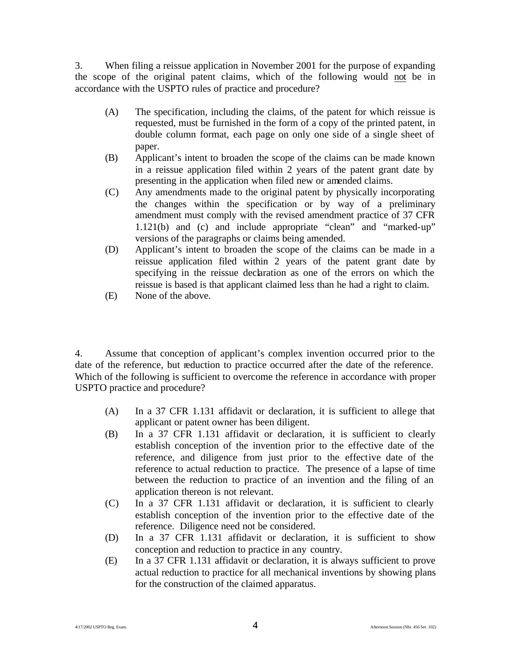3. When filing a reissue application in November 2001 for the purpose of expanding the scope of the original patent claims, which of the following would not be in accordance with the USPTO rules of practice and procedure?

- (A) The specification, including the claims, of the patent for which reissue is requested, must be furnished in the form of a copy of the printed patent, in double column format, each page on only one side of a single sheet of paper.
- (B) Applicant's intent to broaden the scope of the claims can be made known in a reissue application filed within 2 years of the patent grant date by presenting in the application when filed new or amended claims.
- (C) Any amendments made to the original patent by physically incorporating the changes within the specification or by way of a preliminary amendment must comply with the revised amendment practice of 37 CFR 1.121(b) and (c) and include appropriate "clean" and "marked-up" versions of the paragraphs or claims being amended.
- (D) Applicant's intent to broaden the scope of the claims can be made in a reissue application filed within 2 years of the patent grant date by specifying in the reissue declaration as one of the errors on which the reissue is based is that applicant claimed less than he had a right to claim.
- (E) None of the above.

4. Assume that conception of applicant's complex invention occurred prior to the date of the reference, but reduction to practice occurred after the date of the reference. Which of the following is sufficient to overcome the reference in accordance with proper USPTO practice and procedure?

- (A) In a 37 CFR 1.131 affidavit or declaration, it is sufficient to allege that applicant or patent owner has been diligent.
- (B) In a 37 CFR 1.131 affidavit or declaration, it is sufficient to clearly establish conception of the invention prior to the effective date of the reference, and diligence from just prior to the effective date of the reference to actual reduction to practice. The presence of a lapse of time between the reduction to practice of an invention and the filing of an application thereon is not relevant.
- (C) In a 37 CFR 1.131 affidavit or declaration, it is sufficient to clearly establish conception of the invention prior to the effective date of the reference. Diligence need not be considered.
- (D) In a 37 CFR 1.131 affidavit or declaration, it is sufficient to show conception and reduction to practice in any country.
- (E) In a 37 CFR 1.131 affidavit or declaration, it is always sufficient to prove actual reduction to practice for all mechanical inventions by showing plans for the construction of the claimed apparatus.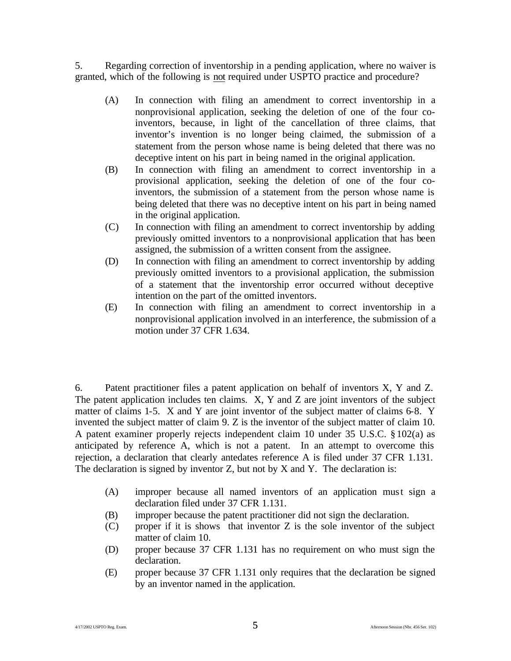5. Regarding correction of inventorship in a pending application, where no waiver is granted, which of the following is not required under USPTO practice and procedure?

- (A) In connection with filing an amendment to correct inventorship in a nonprovisional application, seeking the deletion of one of the four coinventors, because, in light of the cancellation of three claims, that inventor's invention is no longer being claimed, the submission of a statement from the person whose name is being deleted that there was no deceptive intent on his part in being named in the original application.
- (B) In connection with filing an amendment to correct inventorship in a provisional application, seeking the deletion of one of the four coinventors, the submission of a statement from the person whose name is being deleted that there was no deceptive intent on his part in being named in the original application.
- (C) In connection with filing an amendment to correct inventorship by adding previously omitted inventors to a nonprovisional application that has been assigned, the submission of a written consent from the assignee.
- (D) In connection with filing an amendment to correct inventorship by adding previously omitted inventors to a provisional application, the submission of a statement that the inventorship error occurred without deceptive intention on the part of the omitted inventors.
- (E) In connection with filing an amendment to correct inventorship in a nonprovisional application involved in an interference, the submission of a motion under 37 CFR 1.634.

6. Patent practitioner files a patent application on behalf of inventors X, Y and Z. The patent application includes ten claims. X, Y and Z are joint inventors of the subject matter of claims 1-5. X and Y are joint inventor of the subject matter of claims 6-8. Y invented the subject matter of claim 9. Z is the inventor of the subject matter of claim 10. A patent examiner properly rejects independent claim 10 under 35 U.S.C. § 102(a) as anticipated by reference A, which is not a patent. In an attempt to overcome this rejection, a declaration that clearly antedates reference A is filed under 37 CFR 1.131. The declaration is signed by inventor  $Z$ , but not by  $X$  and  $Y$ . The declaration is:

- (A) improper because all named inventors of an application must sign a declaration filed under 37 CFR 1.131.
- (B) improper because the patent practitioner did not sign the declaration.
- (C) proper if it is shows that inventor Z is the sole inventor of the subject matter of claim 10.
- (D) proper because 37 CFR 1.131 has no requirement on who must sign the declaration.
- (E) proper because 37 CFR 1.131 only requires that the declaration be signed by an inventor named in the application.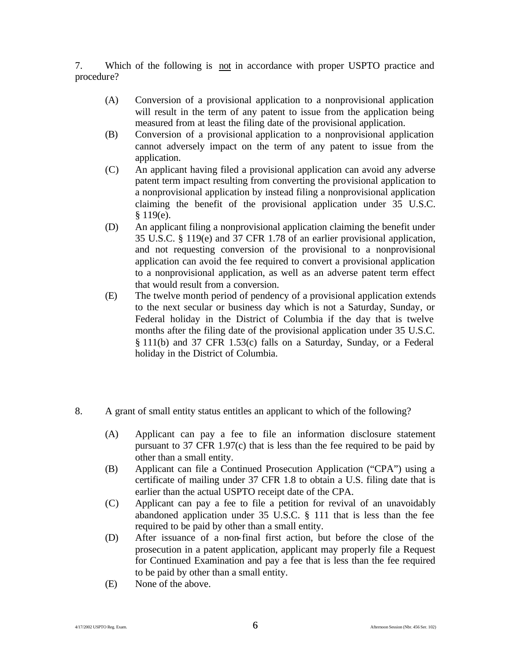7. Which of the following is not in accordance with proper USPTO practice and procedure?

- (A) Conversion of a provisional application to a nonprovisional application will result in the term of any patent to issue from the application being measured from at least the filing date of the provisional application.
- (B) Conversion of a provisional application to a nonprovisional application cannot adversely impact on the term of any patent to issue from the application.
- (C) An applicant having filed a provisional application can avoid any adverse patent term impact resulting from converting the provisional application to a nonprovisional application by instead filing a nonprovisional application claiming the benefit of the provisional application under 35 U.S.C. § 119(e).
- (D) An applicant filing a nonprovisional application claiming the benefit under 35 U.S.C. § 119(e) and 37 CFR 1.78 of an earlier provisional application, and not requesting conversion of the provisional to a nonprovisional application can avoid the fee required to convert a provisional application to a nonprovisional application, as well as an adverse patent term effect that would result from a conversion.
- (E) The twelve month period of pendency of a provisional application extends to the next secular or business day which is not a Saturday, Sunday, or Federal holiday in the District of Columbia if the day that is twelve months after the filing date of the provisional application under 35 U.S.C. § 111(b) and 37 CFR 1.53(c) falls on a Saturday, Sunday, or a Federal holiday in the District of Columbia.
- 8. A grant of small entity status entitles an applicant to which of the following?
	- (A) Applicant can pay a fee to file an information disclosure statement pursuant to 37 CFR 1.97(c) that is less than the fee required to be paid by other than a small entity.
	- (B) Applicant can file a Continued Prosecution Application ("CPA") using a certificate of mailing under 37 CFR 1.8 to obtain a U.S. filing date that is earlier than the actual USPTO receipt date of the CPA.
	- (C) Applicant can pay a fee to file a petition for revival of an unavoidably abandoned application under 35 U.S.C. § 111 that is less than the fee required to be paid by other than a small entity.
	- (D) After issuance of a non-final first action, but before the close of the prosecution in a patent application, applicant may properly file a Request for Continued Examination and pay a fee that is less than the fee required to be paid by other than a small entity.
	- (E) None of the above.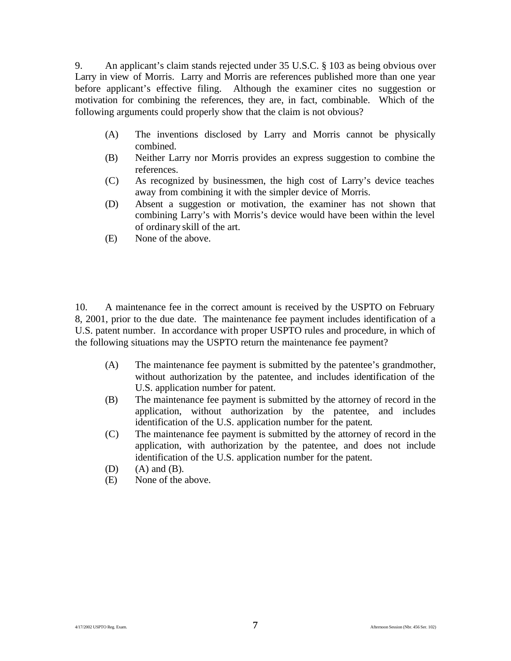9. An applicant's claim stands rejected under 35 U.S.C. § 103 as being obvious over Larry in view of Morris. Larry and Morris are references published more than one year before applicant's effective filing. Although the examiner cites no suggestion or motivation for combining the references, they are, in fact, combinable. Which of the following arguments could properly show that the claim is not obvious?

- (A) The inventions disclosed by Larry and Morris cannot be physically combined.
- (B) Neither Larry nor Morris provides an express suggestion to combine the references.
- (C) As recognized by businessmen, the high cost of Larry's device teaches away from combining it with the simpler device of Morris.
- (D) Absent a suggestion or motivation, the examiner has not shown that combining Larry's with Morris's device would have been within the level of ordinary skill of the art.
- (E) None of the above.

10. A maintenance fee in the correct amount is received by the USPTO on February 8, 2001, prior to the due date. The maintenance fee payment includes identification of a U.S. patent number. In accordance with proper USPTO rules and procedure, in which of the following situations may the USPTO return the maintenance fee payment?

- (A) The maintenance fee payment is submitted by the patentee's grandmother, without authorization by the patentee, and includes identification of the U.S. application number for patent.
- (B) The maintenance fee payment is submitted by the attorney of record in the application, without authorization by the patentee, and includes identification of the U.S. application number for the patent.
- (C) The maintenance fee payment is submitted by the attorney of record in the application, with authorization by the patentee, and does not include identification of the U.S. application number for the patent.
- $(D)$   $(A)$  and  $(B)$ .
- (E) None of the above.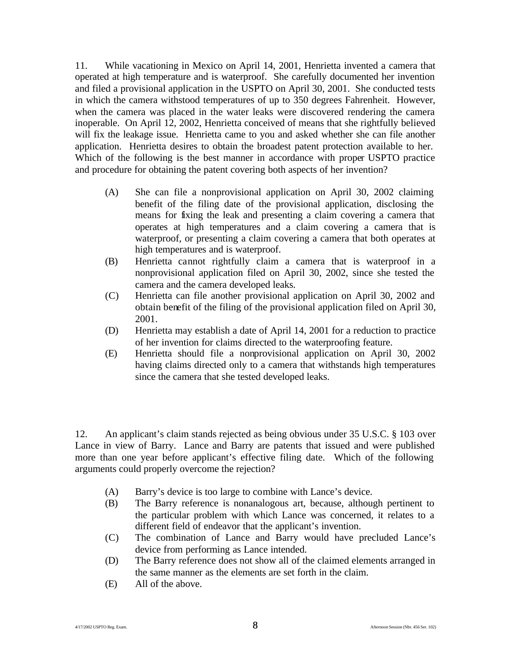11. While vacationing in Mexico on April 14, 2001, Henrietta invented a camera that operated at high temperature and is waterproof. She carefully documented her invention and filed a provisional application in the USPTO on April 30, 2001. She conducted tests in which the camera withstood temperatures of up to 350 degrees Fahrenheit. However, when the camera was placed in the water leaks were discovered rendering the camera inoperable. On April 12, 2002, Henrietta conceived of means that she rightfully believed will fix the leakage issue. Henrietta came to you and asked whether she can file another application. Henrietta desires to obtain the broadest patent protection available to her. Which of the following is the best manner in accordance with proper USPTO practice and procedure for obtaining the patent covering both aspects of her invention?

- (A) She can file a nonprovisional application on April 30, 2002 claiming benefit of the filing date of the provisional application, disclosing the means for fixing the leak and presenting a claim covering a camera that operates at high temperatures and a claim covering a camera that is waterproof, or presenting a claim covering a camera that both operates at high temperatures and is waterproof.
- (B) Henrietta cannot rightfully claim a camera that is waterproof in a nonprovisional application filed on April 30, 2002, since she tested the camera and the camera developed leaks.
- (C) Henrietta can file another provisional application on April 30, 2002 and obtain benefit of the filing of the provisional application filed on April 30, 2001.
- (D) Henrietta may establish a date of April 14, 2001 for a reduction to practice of her invention for claims directed to the waterproofing feature.
- (E) Henrietta should file a nonprovisional application on April 30, 2002 having claims directed only to a camera that withstands high temperatures since the camera that she tested developed leaks.

12. An applicant's claim stands rejected as being obvious under 35 U.S.C. § 103 over Lance in view of Barry. Lance and Barry are patents that issued and were published more than one year before applicant's effective filing date. Which of the following arguments could properly overcome the rejection?

- (A) Barry's device is too large to combine with Lance's device.
- (B) The Barry reference is nonanalogous art, because, although pertinent to the particular problem with which Lance was concerned, it relates to a different field of endeavor that the applicant's invention.
- (C) The combination of Lance and Barry would have precluded Lance's device from performing as Lance intended.
- (D) The Barry reference does not show all of the claimed elements arranged in the same manner as the elements are set forth in the claim.
- (E) All of the above.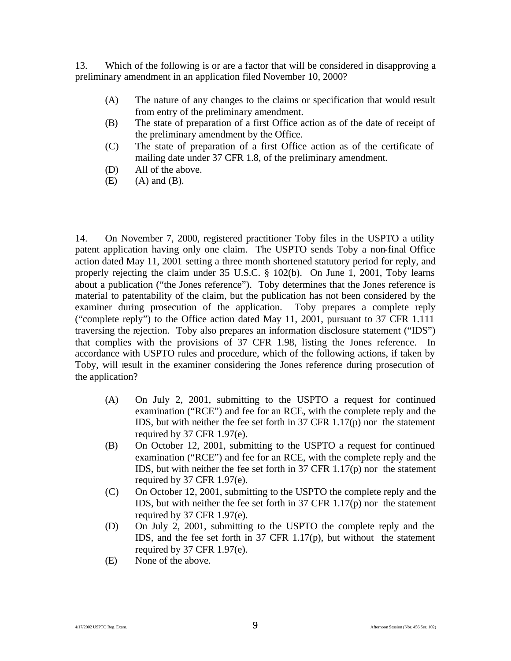13. Which of the following is or are a factor that will be considered in disapproving a preliminary amendment in an application filed November 10, 2000?

- (A) The nature of any changes to the claims or specification that would result from entry of the preliminary amendment.
- (B) The state of preparation of a first Office action as of the date of receipt of the preliminary amendment by the Office.
- (C) The state of preparation of a first Office action as of the certificate of mailing date under 37 CFR 1.8, of the preliminary amendment.
- (D) All of the above.
- $(E)$   $(A)$  and  $(B)$ .

14. On November 7, 2000, registered practitioner Toby files in the USPTO a utility patent application having only one claim. The USPTO sends Toby a non-final Office action dated May 11, 2001 setting a three month shortened statutory period for reply, and properly rejecting the claim under 35 U.S.C. § 102(b). On June 1, 2001, Toby learns about a publication ("the Jones reference"). Toby determines that the Jones reference is material to patentability of the claim, but the publication has not been considered by the examiner during prosecution of the application. Toby prepares a complete reply ("complete reply") to the Office action dated May 11, 2001, pursuant to 37 CFR 1.111 traversing the rejection. Toby also prepares an information disclosure statement ("IDS") that complies with the provisions of 37 CFR 1.98, listing the Jones reference. In accordance with USPTO rules and procedure, which of the following actions, if taken by Toby, will result in the examiner considering the Jones reference during prosecution of the application?

- (A) On July 2, 2001, submitting to the USPTO a request for continued examination ("RCE") and fee for an RCE, with the complete reply and the IDS, but with neither the fee set forth in 37 CFR 1.17(p) nor the statement required by 37 CFR 1.97(e).
- (B) On October 12, 2001, submitting to the USPTO a request for continued examination ("RCE") and fee for an RCE, with the complete reply and the IDS, but with neither the fee set forth in 37 CFR 1.17(p) nor the statement required by 37 CFR 1.97(e).
- (C) On October 12, 2001, submitting to the USPTO the complete reply and the IDS, but with neither the fee set forth in 37 CFR 1.17(p) nor the statement required by 37 CFR 1.97(e).
- (D) On July 2, 2001, submitting to the USPTO the complete reply and the IDS, and the fee set forth in 37 CFR 1.17(p), but without the statement required by 37 CFR 1.97(e).
- (E) None of the above.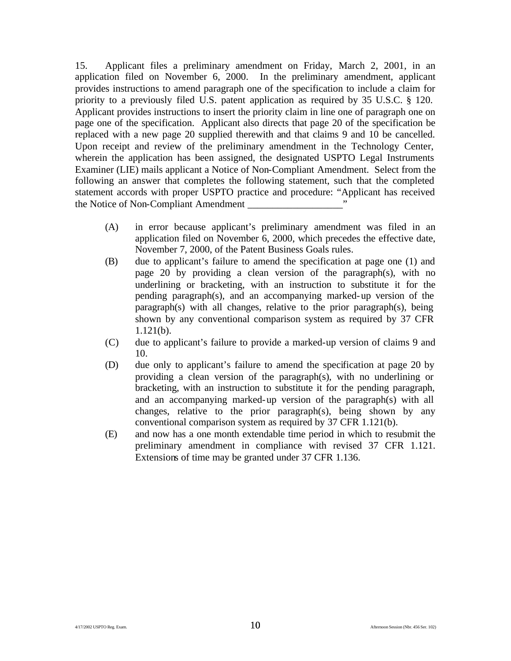15. Applicant files a preliminary amendment on Friday, March 2, 2001, in an application filed on November 6, 2000. In the preliminary amendment, applicant provides instructions to amend paragraph one of the specification to include a claim for priority to a previously filed U.S. patent application as required by 35 U.S.C. § 120. Applicant provides instructions to insert the priority claim in line one of paragraph one on page one of the specification. Applicant also directs that page 20 of the specification be replaced with a new page 20 supplied therewith and that claims 9 and 10 be cancelled. Upon receipt and review of the preliminary amendment in the Technology Center, wherein the application has been assigned, the designated USPTO Legal Instruments Examiner (LIE) mails applicant a Notice of Non-Compliant Amendment. Select from the following an answer that completes the following statement, such that the completed statement accords with proper USPTO practice and procedure: "Applicant has received the Notice of Non-Compliant Amendment

- (A) in error because applicant's preliminary amendment was filed in an application filed on November 6, 2000, which precedes the effective date, November 7, 2000, of the Patent Business Goals rules.
- (B) due to applicant's failure to amend the specification at page one (1) and page 20 by providing a clean version of the paragraph(s), with no underlining or bracketing, with an instruction to substitute it for the pending paragraph(s), and an accompanying marked-up version of the paragraph(s) with all changes, relative to the prior paragraph(s), being shown by any conventional comparison system as required by 37 CFR 1.121(b).
- (C) due to applicant's failure to provide a marked-up version of claims 9 and 10.
- (D) due only to applicant's failure to amend the specification at page 20 by providing a clean version of the paragraph(s), with no underlining or bracketing, with an instruction to substitute it for the pending paragraph, and an accompanying marked-up version of the paragraph(s) with all changes, relative to the prior paragraph(s), being shown by any conventional comparison system as required by 37 CFR 1.121(b).
- (E) and now has a one month extendable time period in which to resubmit the preliminary amendment in compliance with revised 37 CFR 1.121. Extensions of time may be granted under 37 CFR 1.136.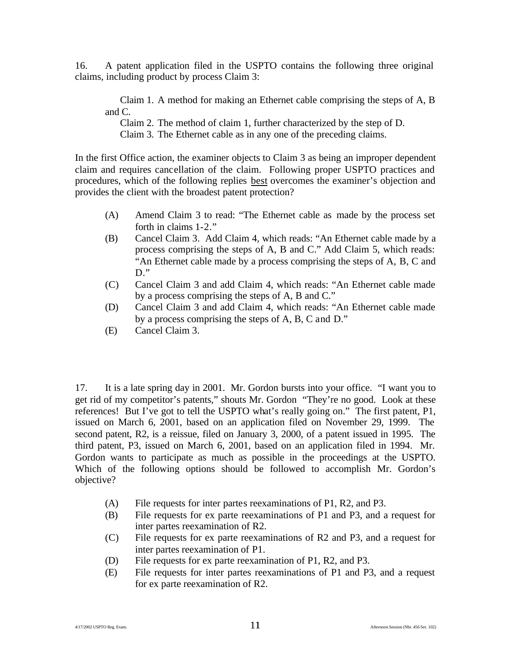16. A patent application filed in the USPTO contains the following three original claims, including product by process Claim 3:

Claim 1. A method for making an Ethernet cable comprising the steps of A, B and C.

Claim 2. The method of claim 1, further characterized by the step of D.

Claim 3. The Ethernet cable as in any one of the preceding claims.

In the first Office action, the examiner objects to Claim 3 as being an improper dependent claim and requires cancellation of the claim. Following proper USPTO practices and procedures, which of the following replies best overcomes the examiner's objection and provides the client with the broadest patent protection?

- (A) Amend Claim 3 to read: "The Ethernet cable as made by the process set forth in claims 1-2."
- (B) Cancel Claim 3. Add Claim 4, which reads: "An Ethernet cable made by a process comprising the steps of A, B and C." Add Claim 5, which reads: "An Ethernet cable made by a process comprising the steps of A, B, C and  $D$ ."
- (C) Cancel Claim 3 and add Claim 4, which reads: "An Ethernet cable made by a process comprising the steps of A, B and C."
- (D) Cancel Claim 3 and add Claim 4, which reads: "An Ethernet cable made by a process comprising the steps of A, B, C and D."
- (E) Cancel Claim 3.

17. It is a late spring day in 2001. Mr. Gordon bursts into your office. "I want you to get rid of my competitor's patents," shouts Mr. Gordon "They're no good. Look at these references! But I've got to tell the USPTO what's really going on." The first patent, P1, issued on March 6, 2001, based on an application filed on November 29, 1999. The second patent, R2, is a reissue, filed on January 3, 2000, of a patent issued in 1995. The third patent, P3, issued on March 6, 2001, based on an application filed in 1994. Mr. Gordon wants to participate as much as possible in the proceedings at the USPTO. Which of the following options should be followed to accomplish Mr. Gordon's objective?

- (A) File requests for inter partes reexaminations of P1, R2, and P3.
- (B) File requests for ex parte reexaminations of P1 and P3, and a request for inter partes reexamination of R2.
- (C) File requests for ex parte reexaminations of R2 and P3, and a request for inter partes reexamination of P1.
- (D) File requests for ex parte reexamination of P1, R2, and P3.
- (E) File requests for inter partes reexaminations of P1 and P3, and a request for ex parte reexamination of R2.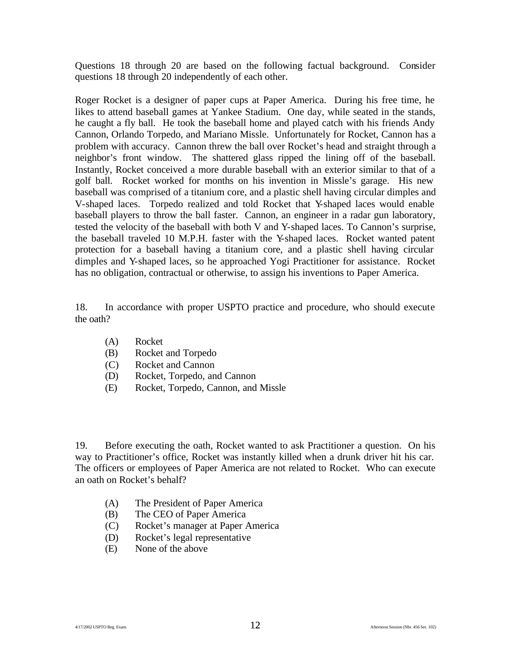Questions 18 through 20 are based on the following factual background. Consider questions 18 through 20 independently of each other.

Roger Rocket is a designer of paper cups at Paper America. During his free time, he likes to attend baseball games at Yankee Stadium. One day, while seated in the stands, he caught a fly ball. He took the baseball home and played catch with his friends Andy Cannon, Orlando Torpedo, and Mariano Missle. Unfortunately for Rocket, Cannon has a problem with accuracy. Cannon threw the ball over Rocket's head and straight through a neighbor's front window. The shattered glass ripped the lining off of the baseball. Instantly, Rocket conceived a more durable baseball with an exterior similar to that of a golf ball. Rocket worked for months on his invention in Missle's garage. His new baseball was comprised of a titanium core, and a plastic shell having circular dimples and V-shaped laces. Torpedo realized and told Rocket that Y-shaped laces would enable baseball players to throw the ball faster. Cannon, an engineer in a radar gun laboratory, tested the velocity of the baseball with both V and Y-shaped laces. To Cannon's surprise, the baseball traveled 10 M.P.H. faster with the Y-shaped laces. Rocket wanted patent protection for a baseball having a titanium core, and a plastic shell having circular dimples and Y-shaped laces, so he approached Yogi Practitioner for assistance. Rocket has no obligation, contractual or otherwise, to assign his inventions to Paper America.

18. In accordance with proper USPTO practice and procedure, who should execute the oath?

- (A) Rocket
- (B) Rocket and Torpedo
- (C) Rocket and Cannon
- (D) Rocket, Torpedo, and Cannon
- (E) Rocket, Torpedo, Cannon, and Missle

19. Before executing the oath, Rocket wanted to ask Practitioner a question. On his way to Practitioner's office, Rocket was instantly killed when a drunk driver hit his car. The officers or employees of Paper America are not related to Rocket. Who can execute an oath on Rocket's behalf?

- (A) The President of Paper America
- (B) The CEO of Paper America
- (C) Rocket's manager at Paper America
- (D) Rocket's legal representative
- (E) None of the above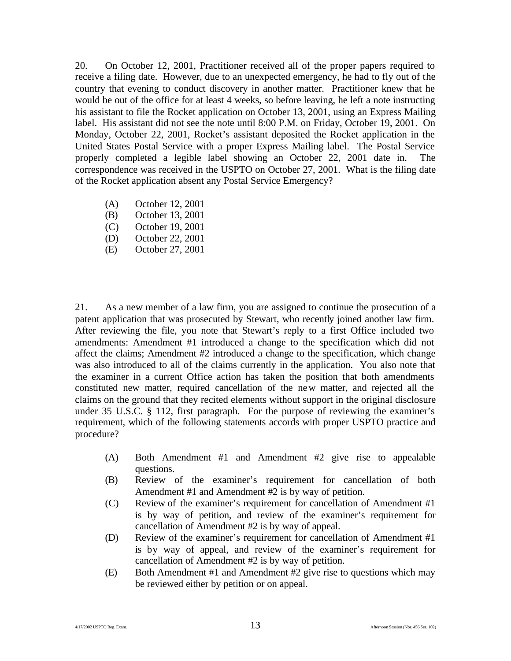20. On October 12, 2001, Practitioner received all of the proper papers required to receive a filing date. However, due to an unexpected emergency, he had to fly out of the country that evening to conduct discovery in another matter. Practitioner knew that he would be out of the office for at least 4 weeks, so before leaving, he left a note instructing his assistant to file the Rocket application on October 13, 2001, using an Express Mailing label. His assistant did not see the note until 8:00 P.M. on Friday, October 19, 2001. On Monday, October 22, 2001, Rocket's assistant deposited the Rocket application in the United States Postal Service with a proper Express Mailing label. The Postal Service properly completed a legible label showing an October 22, 2001 date in. The correspondence was received in the USPTO on October 27, 2001. What is the filing date of the Rocket application absent any Postal Service Emergency?

- (A) October 12, 2001
- (B) October 13, 2001
- (C) October 19, 2001
- (D) October 22, 2001
- (E) October 27, 2001

21. As a new member of a law firm, you are assigned to continue the prosecution of a patent application that was prosecuted by Stewart, who recently joined another law firm. After reviewing the file, you note that Stewart's reply to a first Office included two amendments: Amendment #1 introduced a change to the specification which did not affect the claims; Amendment #2 introduced a change to the specification, which change was also introduced to all of the claims currently in the application. You also note that the examiner in a current Office action has taken the position that both amendments constituted new matter, required cancellation of the new matter, and rejected all the claims on the ground that they recited elements without support in the original disclosure under 35 U.S.C. § 112, first paragraph. For the purpose of reviewing the examiner's requirement, which of the following statements accords with proper USPTO practice and procedure?

- (A) Both Amendment #1 and Amendment #2 give rise to appealable questions.
- (B) Review of the examiner's requirement for cancellation of both Amendment #1 and Amendment #2 is by way of petition.
- (C) Review of the examiner's requirement for cancellation of Amendment #1 is by way of petition, and review of the examiner's requirement for cancellation of Amendment #2 is by way of appeal.
- (D) Review of the examiner's requirement for cancellation of Amendment #1 is by way of appeal, and review of the examiner's requirement for cancellation of Amendment #2 is by way of petition.
- (E) Both Amendment #1 and Amendment #2 give rise to questions which may be reviewed either by petition or on appeal.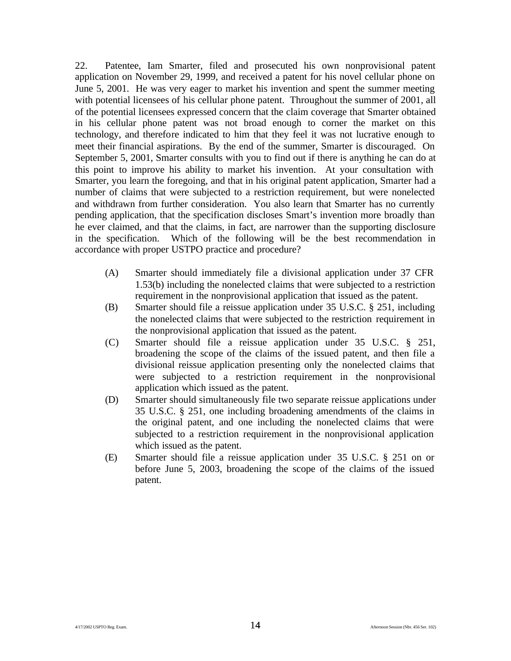22. Patentee, Iam Smarter, filed and prosecuted his own nonprovisional patent application on November 29, 1999, and received a patent for his novel cellular phone on June 5, 2001. He was very eager to market his invention and spent the summer meeting with potential licensees of his cellular phone patent. Throughout the summer of 2001, all of the potential licensees expressed concern that the claim coverage that Smarter obtained in his cellular phone patent was not broad enough to corner the market on this technology, and therefore indicated to him that they feel it was not lucrative enough to meet their financial aspirations. By the end of the summer, Smarter is discouraged. On September 5, 2001, Smarter consults with you to find out if there is anything he can do at this point to improve his ability to market his invention. At your consultation with Smarter, you learn the foregoing, and that in his original patent application, Smarter had a number of claims that were subjected to a restriction requirement, but were nonelected and withdrawn from further consideration. You also learn that Smarter has no currently pending application, that the specification discloses Smart's invention more broadly than he ever claimed, and that the claims, in fact, are narrower than the supporting disclosure in the specification. Which of the following will be the best recommendation in accordance with proper USTPO practice and procedure?

- (A) Smarter should immediately file a divisional application under 37 CFR 1.53(b) including the nonelected claims that were subjected to a restriction requirement in the nonprovisional application that issued as the patent.
- (B) Smarter should file a reissue application under 35 U.S.C. § 251, including the nonelected claims that were subjected to the restriction requirement in the nonprovisional application that issued as the patent.
- (C) Smarter should file a reissue application under 35 U.S.C. § 251, broadening the scope of the claims of the issued patent, and then file a divisional reissue application presenting only the nonelected claims that were subjected to a restriction requirement in the nonprovisional application which issued as the patent.
- (D) Smarter should simultaneously file two separate reissue applications under 35 U.S.C. § 251, one including broadening amendments of the claims in the original patent, and one including the nonelected claims that were subjected to a restriction requirement in the nonprovisional application which issued as the patent.
- (E) Smarter should file a reissue application under 35 U.S.C. § 251 on or before June 5, 2003, broadening the scope of the claims of the issued patent.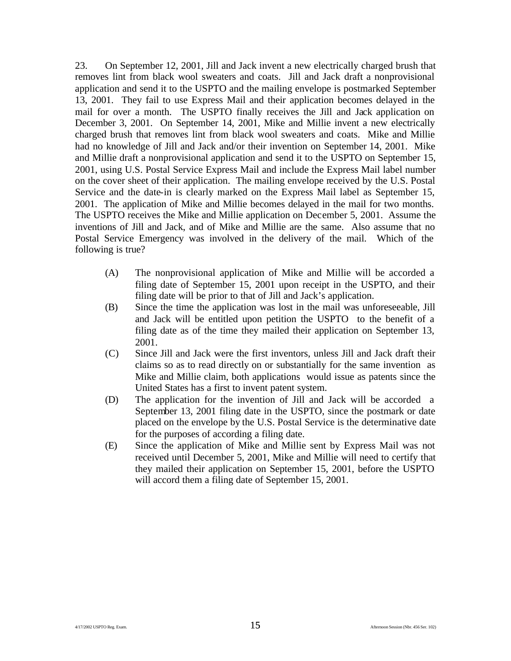23. On September 12, 2001, Jill and Jack invent a new electrically charged brush that removes lint from black wool sweaters and coats. Jill and Jack draft a nonprovisional application and send it to the USPTO and the mailing envelope is postmarked September 13, 2001. They fail to use Express Mail and their application becomes delayed in the mail for over a month. The USPTO finally receives the Jill and Jack application on December 3, 2001. On September 14, 2001, Mike and Millie invent a new electrically charged brush that removes lint from black wool sweaters and coats. Mike and Millie had no knowledge of Jill and Jack and/or their invention on September 14, 2001. Mike and Millie draft a nonprovisional application and send it to the USPTO on September 15, 2001, using U.S. Postal Service Express Mail and include the Express Mail label number on the cover sheet of their application. The mailing envelope received by the U.S. Postal Service and the date-in is clearly marked on the Express Mail label as September 15, 2001. The application of Mike and Millie becomes delayed in the mail for two months. The USPTO receives the Mike and Millie application on December 5, 2001. Assume the inventions of Jill and Jack, and of Mike and Millie are the same. Also assume that no Postal Service Emergency was involved in the delivery of the mail. Which of the following is true?

- (A) The nonprovisional application of Mike and Millie will be accorded a filing date of September 15, 2001 upon receipt in the USPTO, and their filing date will be prior to that of Jill and Jack's application.
- (B) Since the time the application was lost in the mail was unforeseeable, Jill and Jack will be entitled upon petition the USPTO to the benefit of a filing date as of the time they mailed their application on September 13, 2001.
- (C) Since Jill and Jack were the first inventors, unless Jill and Jack draft their claims so as to read directly on or substantially for the same invention as Mike and Millie claim, both applications would issue as patents since the United States has a first to invent patent system.
- (D) The application for the invention of Jill and Jack will be accorded a September 13, 2001 filing date in the USPTO, since the postmark or date placed on the envelope by the U.S. Postal Service is the determinative date for the purposes of according a filing date.
- (E) Since the application of Mike and Millie sent by Express Mail was not received until December 5, 2001, Mike and Millie will need to certify that they mailed their application on September 15, 2001, before the USPTO will accord them a filing date of September 15, 2001.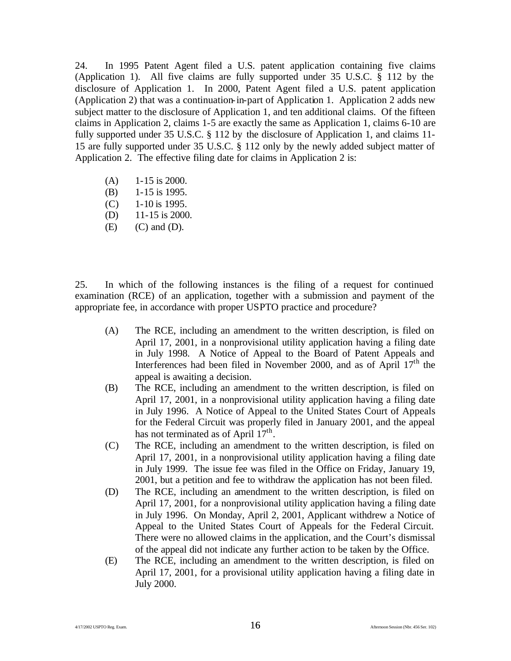24. In 1995 Patent Agent filed a U.S. patent application containing five claims (Application 1). All five claims are fully supported under 35 U.S.C. § 112 by the disclosure of Application 1. In 2000, Patent Agent filed a U.S. patent application (Application 2) that was a continuation-in-part of Application 1. Application 2 adds new subject matter to the disclosure of Application 1, and ten additional claims. Of the fifteen claims in Application 2, claims 1-5 are exactly the same as Application 1, claims 6-10 are fully supported under 35 U.S.C. § 112 by the disclosure of Application 1, and claims 11-15 are fully supported under 35 U.S.C. § 112 only by the newly added subject matter of Application 2. The effective filing date for claims in Application 2 is:

- $(A)$  1-15 is 2000.
- (B) 1-15 is 1995.
- (C) 1-10 is 1995.
- (D) 11-15 is 2000.
- $(E)$   $(C)$  and  $(D)$ .

25. In which of the following instances is the filing of a request for continued examination (RCE) of an application, together with a submission and payment of the appropriate fee, in accordance with proper USPTO practice and procedure?

- (A) The RCE, including an amendment to the written description, is filed on April 17, 2001, in a nonprovisional utility application having a filing date in July 1998. A Notice of Appeal to the Board of Patent Appeals and Interferences had been filed in November 2000, and as of April  $17<sup>th</sup>$  the appeal is awaiting a decision.
- (B) The RCE, including an amendment to the written description, is filed on April 17, 2001, in a nonprovisional utility application having a filing date in July 1996. A Notice of Appeal to the United States Court of Appeals for the Federal Circuit was properly filed in January 2001, and the appeal has not terminated as of April  $17<sup>th</sup>$ .
- (C) The RCE, including an amendment to the written description, is filed on April 17, 2001, in a nonprovisional utility application having a filing date in July 1999. The issue fee was filed in the Office on Friday, January 19, 2001, but a petition and fee to withdraw the application has not been filed.
- (D) The RCE, including an amendment to the written description, is filed on April 17, 2001, for a nonprovisional utility application having a filing date in July 1996. On Monday, April 2, 2001, Applicant withdrew a Notice of Appeal to the United States Court of Appeals for the Federal Circuit. There were no allowed claims in the application, and the Court's dismissal of the appeal did not indicate any further action to be taken by the Office.
- (E) The RCE, including an amendment to the written description, is filed on April 17, 2001, for a provisional utility application having a filing date in July 2000.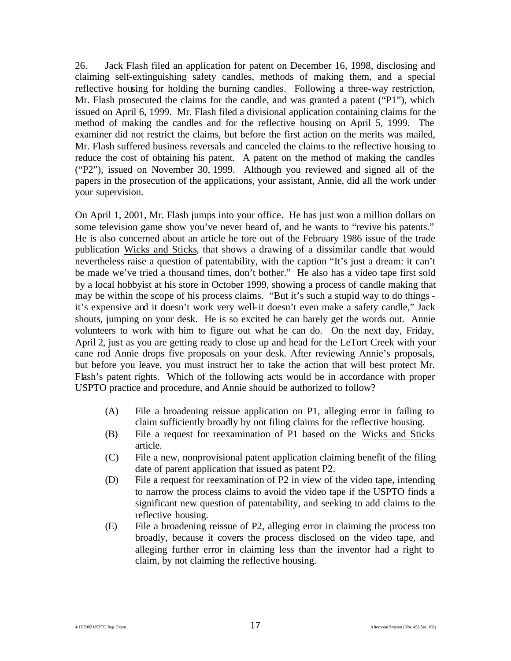26. Jack Flash filed an application for patent on December 16, 1998, disclosing and claiming self-extinguishing safety candles, methods of making them, and a special reflective housing for holding the burning candles. Following a three-way restriction, Mr. Flash prosecuted the claims for the candle, and was granted a patent ("P1"), which issued on April 6, 1999. Mr. Flash filed a divisional application containing claims for the method of making the candles and for the reflective housing on April 5, 1999. The examiner did not restrict the claims, but before the first action on the merits was mailed, Mr. Flash suffered business reversals and canceled the claims to the reflective housing to reduce the cost of obtaining his patent. A patent on the method of making the candles ("P2"), issued on November 30, 1999. Although you reviewed and signed all of the papers in the prosecution of the applications, your assistant, Annie, did all the work under your supervision.

On April 1, 2001, Mr. Flash jumps into your office. He has just won a million dollars on some television game show you've never heard of, and he wants to "revive his patents." He is also concerned about an article he tore out of the February 1986 issue of the trade publication Wicks and Sticks, that shows a drawing of a dissimilar candle that would nevertheless raise a question of patentability, with the caption "It's just a dream: it can't be made we've tried a thousand times, don't bother." He also has a video tape first sold by a local hobbyist at his store in October 1999, showing a process of candle making that may be within the scope of his process claims. "But it's such a stupid way to do things it's expensive and it doesn't work very well-it doesn't even make a safety candle," Jack shouts, jumping on your desk. He is so excited he can barely get the words out. Annie volunteers to work with him to figure out what he can do. On the next day, Friday, April 2, just as you are getting ready to close up and head for the LeTort Creek with your cane rod Annie drops five proposals on your desk. After reviewing Annie's proposals, but before you leave, you must instruct her to take the action that will best protect Mr. Flash's patent rights. Which of the following acts would be in accordance with proper USPTO practice and procedure, and Annie should be authorized to follow?

- (A) File a broadening reissue application on P1, alleging error in failing to claim sufficiently broadly by not filing claims for the reflective housing.
- (B) File a request for reexamination of P1 based on the Wicks and Sticks article.
- (C) File a new, nonprovisional patent application claiming benefit of the filing date of parent application that issued as patent P2.
- (D) File a request for reexamination of P2 in view of the video tape, intending to narrow the process claims to avoid the video tape if the USPTO finds a significant new question of patentability, and seeking to add claims to the reflective housing.
- (E) File a broadening reissue of P2, alleging error in claiming the process too broadly, because it covers the process disclosed on the video tape, and alleging further error in claiming less than the inventor had a right to claim, by not claiming the reflective housing.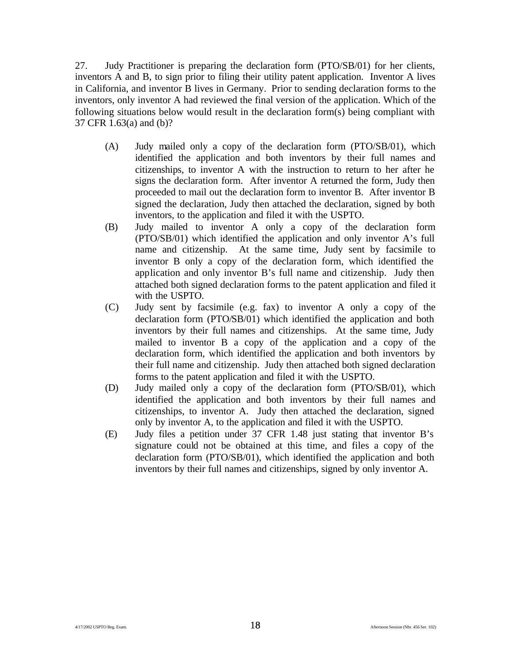27. Judy Practitioner is preparing the declaration form (PTO/SB/01) for her clients, inventors A and B, to sign prior to filing their utility patent application. Inventor A lives in California, and inventor B lives in Germany. Prior to sending declaration forms to the inventors, only inventor A had reviewed the final version of the application. Which of the following situations below would result in the declaration form(s) being compliant with 37 CFR 1.63(a) and (b)?

- (A) Judy mailed only a copy of the declaration form (PTO/SB/01), which identified the application and both inventors by their full names and citizenships, to inventor A with the instruction to return to her after he signs the declaration form. After inventor A returned the form, Judy then proceeded to mail out the declaration form to inventor B. After inventor B signed the declaration, Judy then attached the declaration, signed by both inventors, to the application and filed it with the USPTO.
- (B) Judy mailed to inventor A only a copy of the declaration form (PTO/SB/01) which identified the application and only inventor A's full name and citizenship. At the same time, Judy sent by facsimile to inventor B only a copy of the declaration form, which identified the application and only inventor B's full name and citizenship. Judy then attached both signed declaration forms to the patent application and filed it with the USPTO.
- (C) Judy sent by facsimile (e.g. fax) to inventor A only a copy of the declaration form (PTO/SB/01) which identified the application and both inventors by their full names and citizenships. At the same time, Judy mailed to inventor B a copy of the application and a copy of the declaration form, which identified the application and both inventors by their full name and citizenship. Judy then attached both signed declaration forms to the patent application and filed it with the USPTO.
- (D) Judy mailed only a copy of the declaration form (PTO/SB/01), which identified the application and both inventors by their full names and citizenships, to inventor A. Judy then attached the declaration, signed only by inventor A, to the application and filed it with the USPTO.
- (E) Judy files a petition under 37 CFR 1.48 just stating that inventor B's signature could not be obtained at this time, and files a copy of the declaration form (PTO/SB/01), which identified the application and both inventors by their full names and citizenships, signed by only inventor A.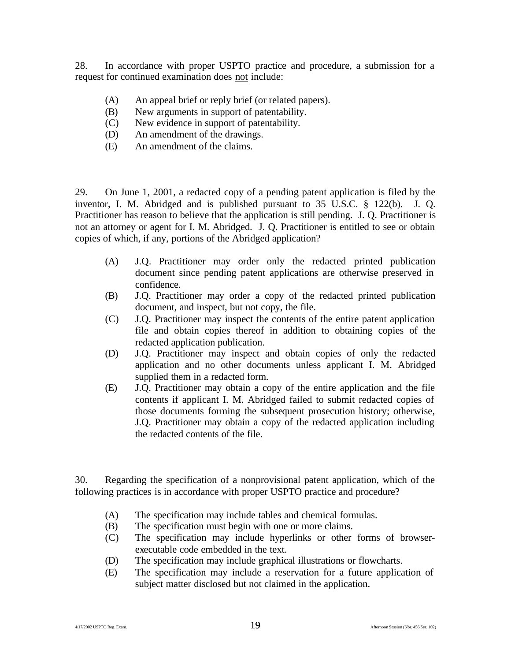28. In accordance with proper USPTO practice and procedure, a submission for a request for continued examination does not include:

- (A) An appeal brief or reply brief (or related papers).
- (B) New arguments in support of patentability.
- (C) New evidence in support of patentability.
- (D) An amendment of the drawings.
- (E) An amendment of the claims.

29. On June 1, 2001, a redacted copy of a pending patent application is filed by the inventor, I. M. Abridged and is published pursuant to 35 U.S.C. § 122(b). J. Q. Practitioner has reason to believe that the application is still pending. J. Q. Practitioner is not an attorney or agent for I. M. Abridged. J. Q. Practitioner is entitled to see or obtain copies of which, if any, portions of the Abridged application?

- (A) J.Q. Practitioner may order only the redacted printed publication document since pending patent applications are otherwise preserved in confidence.
- (B) J.Q. Practitioner may order a copy of the redacted printed publication document, and inspect, but not copy, the file.
- (C) J.Q. Practitioner may inspect the contents of the entire patent application file and obtain copies thereof in addition to obtaining copies of the redacted application publication.
- (D) J.Q. Practitioner may inspect and obtain copies of only the redacted application and no other documents unless applicant I. M. Abridged supplied them in a redacted form.
- (E) J.Q. Practitioner may obtain a copy of the entire application and the file contents if applicant I. M. Abridged failed to submit redacted copies of those documents forming the subsequent prosecution history; otherwise, J.Q. Practitioner may obtain a copy of the redacted application including the redacted contents of the file.

30. Regarding the specification of a nonprovisional patent application, which of the following practices is in accordance with proper USPTO practice and procedure?

- (A) The specification may include tables and chemical formulas.
- (B) The specification must begin with one or more claims.
- (C) The specification may include hyperlinks or other forms of browserexecutable code embedded in the text.
- (D) The specification may include graphical illustrations or flowcharts.
- (E) The specification may include a reservation for a future application of subject matter disclosed but not claimed in the application.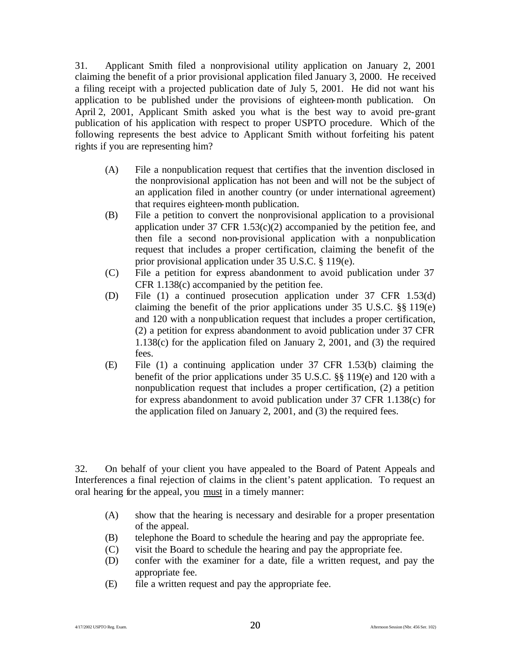31. Applicant Smith filed a nonprovisional utility application on January 2, 2001 claiming the benefit of a prior provisional application filed January 3, 2000. He received a filing receipt with a projected publication date of July 5, 2001. He did not want his application to be published under the provisions of eighteen-month publication. On April 2, 2001, Applicant Smith asked you what is the best way to avoid pre-grant publication of his application with respect to proper USPTO procedure. Which of the following represents the best advice to Applicant Smith without forfeiting his patent rights if you are representing him?

- (A) File a nonpublication request that certifies that the invention disclosed in the nonprovisional application has not been and will not be the subject of an application filed in another country (or under international agreement) that requires eighteen-month publication.
- (B) File a petition to convert the nonprovisional application to a provisional application under 37 CFR 1.53 $(c)(2)$  accompanied by the petition fee, and then file a second non-provisional application with a nonpublication request that includes a proper certification, claiming the benefit of the prior provisional application under 35 U.S.C. § 119(e).
- (C) File a petition for express abandonment to avoid publication under 37 CFR 1.138(c) accompanied by the petition fee.
- (D) File (1) a continued prosecution application under 37 CFR 1.53(d) claiming the benefit of the prior applications under 35 U.S.C. §§ 119(e) and 120 with a nonpublication request that includes a proper certification, (2) a petition for express abandonment to avoid publication under 37 CFR 1.138(c) for the application filed on January 2, 2001, and (3) the required fees.
- (E) File (1) a continuing application under 37 CFR 1.53(b) claiming the benefit of the prior applications under 35 U.S.C. §§ 119(e) and 120 with a nonpublication request that includes a proper certification, (2) a petition for express abandonment to avoid publication under 37 CFR 1.138(c) for the application filed on January 2, 2001, and (3) the required fees.

32. On behalf of your client you have appealed to the Board of Patent Appeals and Interferences a final rejection of claims in the client's patent application. To request an oral hearing for the appeal, you must in a timely manner:

- (A) show that the hearing is necessary and desirable for a proper presentation of the appeal.
- (B) telephone the Board to schedule the hearing and pay the appropriate fee.
- (C) visit the Board to schedule the hearing and pay the appropriate fee.
- (D) confer with the examiner for a date, file a written request, and pay the appropriate fee.
- (E) file a written request and pay the appropriate fee.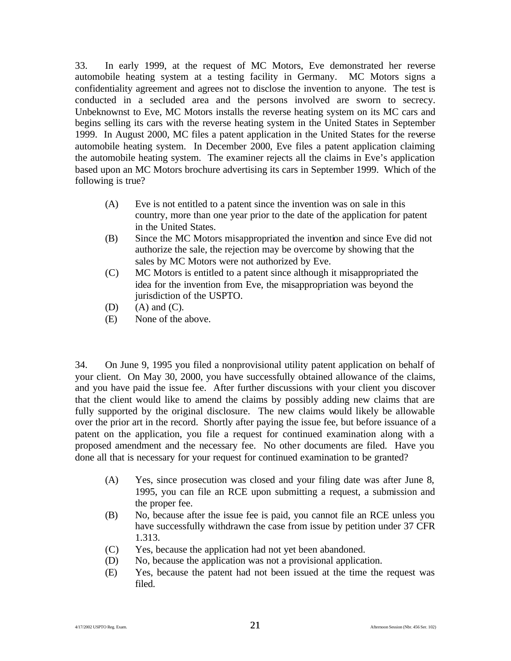33. In early 1999, at the request of MC Motors, Eve demonstrated her reverse automobile heating system at a testing facility in Germany. MC Motors signs a confidentiality agreement and agrees not to disclose the invention to anyone. The test is conducted in a secluded area and the persons involved are sworn to secrecy. Unbeknownst to Eve, MC Motors installs the reverse heating system on its MC cars and begins selling its cars with the reverse heating system in the United States in September 1999. In August 2000, MC files a patent application in the United States for the reverse automobile heating system. In December 2000, Eve files a patent application claiming the automobile heating system. The examiner rejects all the claims in Eve's application based upon an MC Motors brochure advertising its cars in September 1999. Which of the following is true?

- (A) Eve is not entitled to a patent since the invention was on sale in this country, more than one year prior to the date of the application for patent in the United States.
- (B) Since the MC Motors misappropriated the invention and since Eve did not authorize the sale, the rejection may be overcome by showing that the sales by MC Motors were not authorized by Eve.
- (C) MC Motors is entitled to a patent since although it misappropriated the idea for the invention from Eve, the misappropriation was beyond the jurisdiction of the USPTO.
- $(D)$   $(A)$  and  $(C)$ .
- (E) None of the above.

34. On June 9, 1995 you filed a nonprovisional utility patent application on behalf of your client. On May 30, 2000, you have successfully obtained allowance of the claims, and you have paid the issue fee. After further discussions with your client you discover that the client would like to amend the claims by possibly adding new claims that are fully supported by the original disclosure. The new claims would likely be allowable over the prior art in the record. Shortly after paying the issue fee, but before issuance of a patent on the application, you file a request for continued examination along with a proposed amendment and the necessary fee. No other documents are filed. Have you done all that is necessary for your request for continued examination to be granted?

- (A) Yes, since prosecution was closed and your filing date was after June 8, 1995, you can file an RCE upon submitting a request, a submission and the proper fee.
- (B) No, because after the issue fee is paid, you cannot file an RCE unless you have successfully withdrawn the case from issue by petition under 37 CFR 1.313.
- (C) Yes, because the application had not yet been abandoned.
- (D) No, because the application was not a provisional application.
- (E) Yes, because the patent had not been issued at the time the request was filed.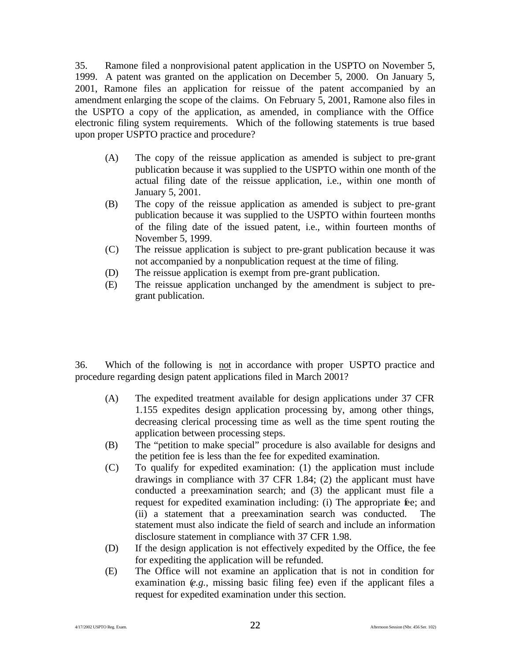35. Ramone filed a nonprovisional patent application in the USPTO on November 5, 1999. A patent was granted on the application on December 5, 2000. On January 5, 2001, Ramone files an application for reissue of the patent accompanied by an amendment enlarging the scope of the claims. On February 5, 2001, Ramone also files in the USPTO a copy of the application, as amended, in compliance with the Office electronic filing system requirements. Which of the following statements is true based upon proper USPTO practice and procedure?

- (A) The copy of the reissue application as amended is subject to pre-grant publication because it was supplied to the USPTO within one month of the actual filing date of the reissue application, i.e., within one month of January 5, 2001.
- (B) The copy of the reissue application as amended is subject to pre-grant publication because it was supplied to the USPTO within fourteen months of the filing date of the issued patent, i.e., within fourteen months of November 5, 1999.
- (C) The reissue application is subject to pre-grant publication because it was not accompanied by a nonpublication request at the time of filing.
- (D) The reissue application is exempt from pre-grant publication.
- (E) The reissue application unchanged by the amendment is subject to pregrant publication.

36. Which of the following is not in accordance with proper USPTO practice and procedure regarding design patent applications filed in March 2001?

- (A) The expedited treatment available for design applications under 37 CFR 1.155 expedites design application processing by, among other things, decreasing clerical processing time as well as the time spent routing the application between processing steps.
- (B) The "petition to make special" procedure is also available for designs and the petition fee is less than the fee for expedited examination.
- (C) To qualify for expedited examination: (1) the application must include drawings in compliance with 37 CFR 1.84; (2) the applicant must have conducted a preexamination search; and (3) the applicant must file a request for expedited examination including: (i) The appropriate fee; and (ii) a statement that a preexamination search was conducted. The statement must also indicate the field of search and include an information disclosure statement in compliance with 37 CFR 1.98.
- (D) If the design application is not effectively expedited by the Office, the fee for expediting the application will be refunded.
- (E) The Office will not examine an application that is not in condition for examination (*e.g.*, missing basic filing fee) even if the applicant files a request for expedited examination under this section.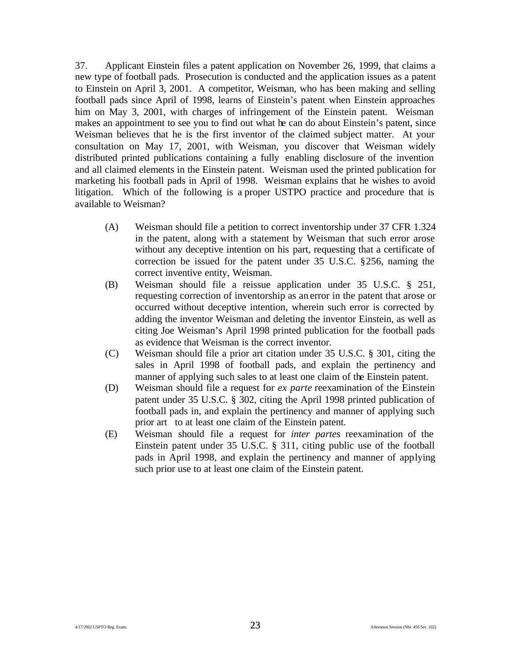37. Applicant Einstein files a patent application on November 26, 1999, that claims a new type of football pads. Prosecution is conducted and the application issues as a patent to Einstein on April 3, 2001. A competitor, Weisman, who has been making and selling football pads since April of 1998, learns of Einstein's patent when Einstein approaches him on May 3, 2001, with charges of infringement of the Einstein patent. Weisman makes an appointment to see you to find out what he can do about Einstein's patent, since Weisman believes that he is the first inventor of the claimed subject matter. At your consultation on May 17, 2001, with Weisman, you discover that Weisman widely distributed printed publications containing a fully enabling disclosure of the invention and all claimed elements in the Einstein patent. Weisman used the printed publication for marketing his football pads in April of 1998. Weisman explains that he wishes to avoid litigation. Which of the following is a proper USTPO practice and procedure that is available to Weisman?

- (A) Weisman should file a petition to correct inventorship under 37 CFR 1.324 in the patent, along with a statement by Weisman that such error arose without any deceptive intention on his part, requesting that a certificate of correction be issued for the patent under 35 U.S.C. §256, naming the correct inventive entity, Weisman.
- (B) Weisman should file a reissue application under 35 U.S.C. § 251, requesting correction of inventorship as an error in the patent that arose or occurred without deceptive intention, wherein such error is corrected by adding the inventor Weisman and deleting the inventor Einstein, as well as citing Joe Weisman's April 1998 printed publication for the football pads as evidence that Weisman is the correct inventor.
- (C) Weisman should file a prior art citation under 35 U.S.C. § 301, citing the sales in April 1998 of football pads, and explain the pertinency and manner of applying such sales to at least one claim of the Einstein patent.
- (D) Weisman should file a request for *ex parte* reexamination of the Einstein patent under 35 U.S.C. § 302, citing the April 1998 printed publication of football pads in, and explain the pertinency and manner of applying such prior art to at least one claim of the Einstein patent.
- (E) Weisman should file a request for *inter partes* reexamination of the Einstein patent under 35 U.S.C. § 311, citing public use of the football pads in April 1998, and explain the pertinency and manner of applying such prior use to at least one claim of the Einstein patent.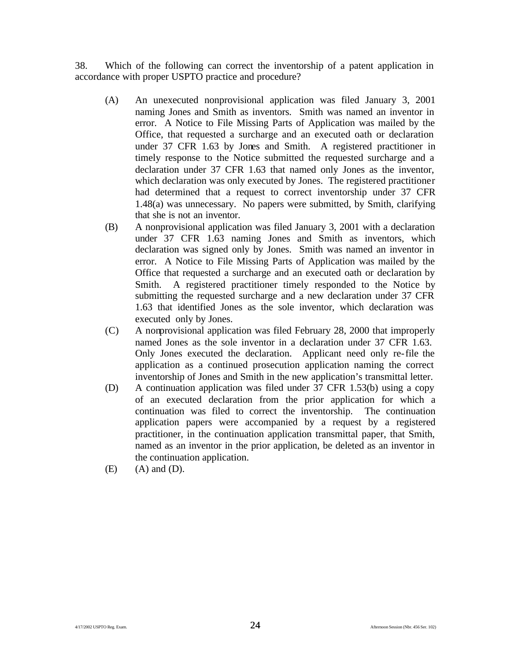38. Which of the following can correct the inventorship of a patent application in accordance with proper USPTO practice and procedure?

- (A) An unexecuted nonprovisional application was filed January 3, 2001 naming Jones and Smith as inventors. Smith was named an inventor in error. A Notice to File Missing Parts of Application was mailed by the Office, that requested a surcharge and an executed oath or declaration under 37 CFR 1.63 by Jones and Smith. A registered practitioner in timely response to the Notice submitted the requested surcharge and a declaration under 37 CFR 1.63 that named only Jones as the inventor, which declaration was only executed by Jones. The registered practitioner had determined that a request to correct inventorship under 37 CFR 1.48(a) was unnecessary. No papers were submitted, by Smith, clarifying that she is not an inventor.
- (B) A nonprovisional application was filed January 3, 2001 with a declaration under 37 CFR 1.63 naming Jones and Smith as inventors, which declaration was signed only by Jones. Smith was named an inventor in error. A Notice to File Missing Parts of Application was mailed by the Office that requested a surcharge and an executed oath or declaration by Smith. A registered practitioner timely responded to the Notice by submitting the requested surcharge and a new declaration under 37 CFR 1.63 that identified Jones as the sole inventor, which declaration was executed only by Jones.
- (C) A nonprovisional application was filed February 28, 2000 that improperly named Jones as the sole inventor in a declaration under 37 CFR 1.63. Only Jones executed the declaration. Applicant need only re-file the application as a continued prosecution application naming the correct inventorship of Jones and Smith in the new application's transmittal letter.
- (D) A continuation application was filed under 37 CFR 1.53(b) using a copy of an executed declaration from the prior application for which a continuation was filed to correct the inventorship. The continuation application papers were accompanied by a request by a registered practitioner, in the continuation application transmittal paper, that Smith, named as an inventor in the prior application, be deleted as an inventor in the continuation application.
- $(E)$   $(A)$  and  $(D)$ .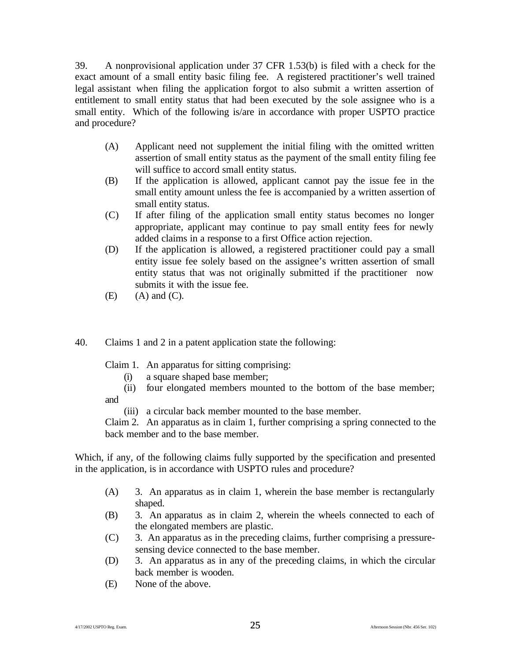39. A nonprovisional application under 37 CFR 1.53(b) is filed with a check for the exact amount of a small entity basic filing fee. A registered practitioner's well trained legal assistant when filing the application forgot to also submit a written assertion of entitlement to small entity status that had been executed by the sole assignee who is a small entity. Which of the following is/are in accordance with proper USPTO practice and procedure?

- (A) Applicant need not supplement the initial filing with the omitted written assertion of small entity status as the payment of the small entity filing fee will suffice to accord small entity status.
- (B) If the application is allowed, applicant cannot pay the issue fee in the small entity amount unless the fee is accompanied by a written assertion of small entity status.
- (C) If after filing of the application small entity status becomes no longer appropriate, applicant may continue to pay small entity fees for newly added claims in a response to a first Office action rejection.
- (D) If the application is allowed, a registered practitioner could pay a small entity issue fee solely based on the assignee's written assertion of small entity status that was not originally submitted if the practitioner now submits it with the issue fee.
- $(E)$   $(A)$  and  $(C)$ .
- 40. Claims 1 and 2 in a patent application state the following:

Claim 1. An apparatus for sitting comprising:

- (i) a square shaped base member;
- (ii) four elongated members mounted to the bottom of the base member; and
	- (iii) a circular back member mounted to the base member.

Claim 2. An apparatus as in claim 1, further comprising a spring connected to the back member and to the base member.

Which, if any, of the following claims fully supported by the specification and presented in the application, is in accordance with USPTO rules and procedure?

- (A) 3. An apparatus as in claim 1, wherein the base member is rectangularly shaped.
- (B) 3. An apparatus as in claim 2, wherein the wheels connected to each of the elongated members are plastic.
- (C) 3. An apparatus as in the preceding claims, further comprising a pressuresensing device connected to the base member.
- (D) 3. An apparatus as in any of the preceding claims, in which the circular back member is wooden.
- (E) None of the above.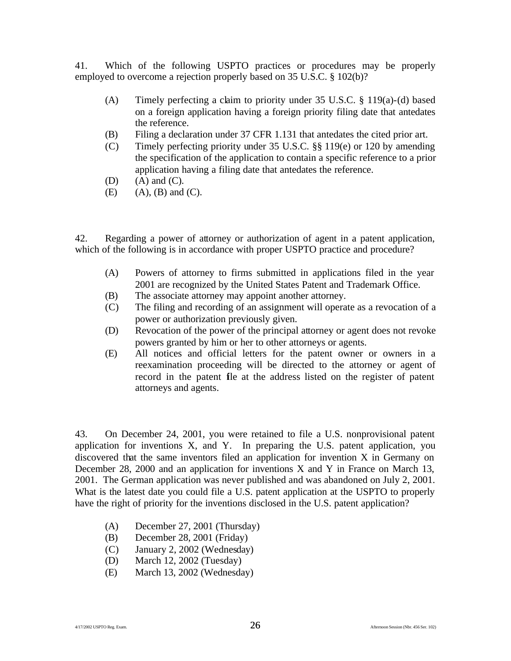41. Which of the following USPTO practices or procedures may be properly employed to overcome a rejection properly based on 35 U.S.C. § 102(b)?

- (A) Timely perfecting a claim to priority under 35 U.S.C. § 119(a)-(d) based on a foreign application having a foreign priority filing date that antedates the reference.
- (B) Filing a declaration under 37 CFR 1.131 that antedates the cited prior art.
- (C) Timely perfecting priority under 35 U.S.C. §§ 119(e) or 120 by amending the specification of the application to contain a specific reference to a prior application having a filing date that antedates the reference.
- $(D)$   $(A)$  and  $(C)$ .
- $(E)$  (A),  $(B)$  and  $(C)$ .

42. Regarding a power of attorney or authorization of agent in a patent application, which of the following is in accordance with proper USPTO practice and procedure?

- (A) Powers of attorney to firms submitted in applications filed in the year 2001 are recognized by the United States Patent and Trademark Office.
- (B) The associate attorney may appoint another attorney.
- (C) The filing and recording of an assignment will operate as a revocation of a power or authorization previously given.
- (D) Revocation of the power of the principal attorney or agent does not revoke powers granted by him or her to other attorneys or agents.
- (E) All notices and official letters for the patent owner or owners in a reexamination proceeding will be directed to the attorney or agent of record in the patent file at the address listed on the register of patent attorneys and agents.

43. On December 24, 2001, you were retained to file a U.S. nonprovisional patent application for inventions X, and Y. In preparing the U.S. patent application, you discovered that the same inventors filed an application for invention X in Germany on December 28, 2000 and an application for inventions X and Y in France on March 13, 2001. The German application was never published and was abandoned on July 2, 2001. What is the latest date you could file a U.S. patent application at the USPTO to properly have the right of priority for the inventions disclosed in the U.S. patent application?

- (A) December 27, 2001 (Thursday)
- (B) December 28, 2001 (Friday)
- (C) January 2, 2002 (Wednesday)
- (D) March 12, 2002 (Tuesday)
- (E) March 13, 2002 (Wednesday)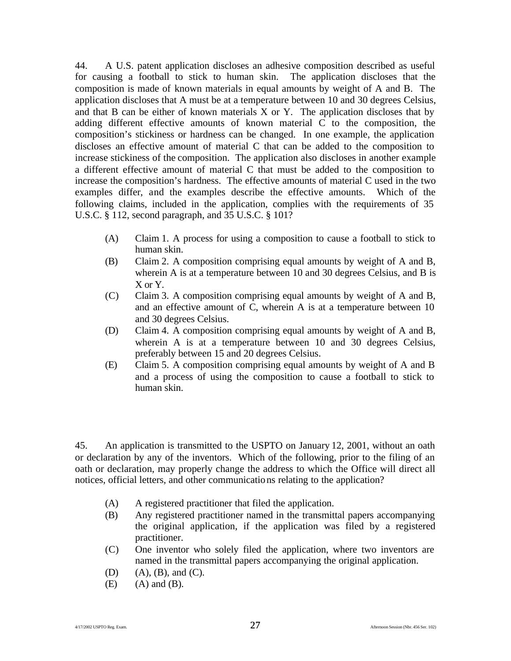44. A U.S. patent application discloses an adhesive composition described as useful for causing a football to stick to human skin. The application discloses that the composition is made of known materials in equal amounts by weight of A and B. The application discloses that A must be at a temperature between 10 and 30 degrees Celsius, and that B can be either of known materials X or Y. The application discloses that by adding different effective amounts of known material C to the composition, the composition's stickiness or hardness can be changed. In one example, the application discloses an effective amount of material C that can be added to the composition to increase stickiness of the composition. The application also discloses in another example a different effective amount of material C that must be added to the composition to increase the composition's hardness. The effective amounts of material C used in the two examples differ, and the examples describe the effective amounts. Which of the following claims, included in the application, complies with the requirements of 35 U.S.C. § 112, second paragraph, and 35 U.S.C. § 101?

- (A) Claim 1. A process for using a composition to cause a football to stick to human skin.
- (B) Claim 2. A composition comprising equal amounts by weight of A and B, wherein A is at a temperature between 10 and 30 degrees Celsius, and B is X or Y.
- (C) Claim 3. A composition comprising equal amounts by weight of A and B, and an effective amount of C, wherein A is at a temperature between 10 and 30 degrees Celsius.
- (D) Claim 4. A composition comprising equal amounts by weight of A and B, wherein A is at a temperature between 10 and 30 degrees Celsius, preferably between 15 and 20 degrees Celsius.
- (E) Claim 5. A composition comprising equal amounts by weight of A and B and a process of using the composition to cause a football to stick to human skin.

45. An application is transmitted to the USPTO on January 12, 2001, without an oath or declaration by any of the inventors. Which of the following, prior to the filing of an oath or declaration, may properly change the address to which the Office will direct all notices, official letters, and other communications relating to the application?

- (A) A registered practitioner that filed the application.
- (B) Any registered practitioner named in the transmittal papers accompanying the original application, if the application was filed by a registered practitioner.
- (C) One inventor who solely filed the application, where two inventors are named in the transmittal papers accompanying the original application.
- (D) (A), (B), and (C).
- $(E)$   $(A)$  and  $(B)$ .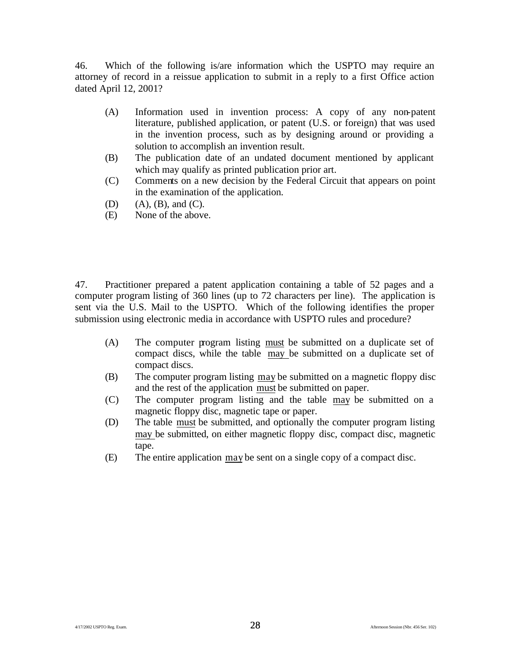46. Which of the following is/are information which the USPTO may require an attorney of record in a reissue application to submit in a reply to a first Office action dated April 12, 2001?

- (A) Information used in invention process: A copy of any non-patent literature, published application, or patent (U.S. or foreign) that was used in the invention process, such as by designing around or providing a solution to accomplish an invention result.
- (B) The publication date of an undated document mentioned by applicant which may qualify as printed publication prior art.
- (C) Comments on a new decision by the Federal Circuit that appears on point in the examination of the application.
- (D) (A), (B), and (C).
- (E) None of the above.

47. Practitioner prepared a patent application containing a table of 52 pages and a computer program listing of 360 lines (up to 72 characters per line). The application is sent via the U.S. Mail to the USPTO. Which of the following identifies the proper submission using electronic media in accordance with USPTO rules and procedure?

- (A) The computer program listing must be submitted on a duplicate set of compact discs, while the table may be submitted on a duplicate set of compact discs.
- (B) The computer program listing may be submitted on a magnetic floppy disc and the rest of the application must be submitted on paper.
- (C) The computer program listing and the table may be submitted on a magnetic floppy disc, magnetic tape or paper.
- (D) The table must be submitted, and optionally the computer program listing may be submitted, on either magnetic floppy disc, compact disc, magnetic tape.
- (E) The entire application may be sent on a single copy of a compact disc.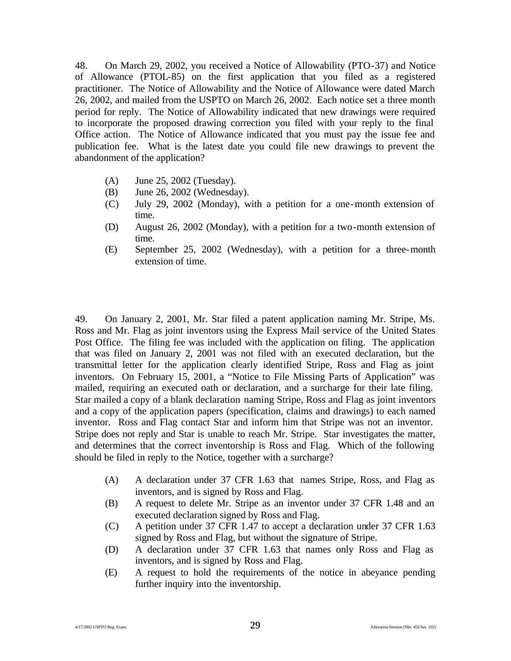48. On March 29, 2002, you received a Notice of Allowability (PTO-37) and Notice of Allowance (PTOL-85) on the first application that you filed as a registered practitioner. The Notice of Allowability and the Notice of Allowance were dated March 26, 2002, and mailed from the USPTO on March 26, 2002. Each notice set a three month period for reply. The Notice of Allowability indicated that new drawings were required to incorporate the proposed drawing correction you filed with your reply to the final Office action. The Notice of Allowance indicated that you must pay the issue fee and publication fee. What is the latest date you could file new drawings to prevent the abandonment of the application?

- (A) June 25, 2002 (Tuesday).
- (B) June 26, 2002 (Wednesday).
- (C) July 29, 2002 (Monday), with a petition for a one-month extension of time.
- (D) August 26, 2002 (Monday), with a petition for a two-month extension of time.
- (E) September 25, 2002 (Wednesday), with a petition for a three-month extension of time.

49. On January 2, 2001, Mr. Star filed a patent application naming Mr. Stripe, Ms. Ross and Mr. Flag as joint inventors using the Express Mail service of the United States Post Office. The filing fee was included with the application on filing. The application that was filed on January 2, 2001 was not filed with an executed declaration, but the transmittal letter for the application clearly identified Stripe, Ross and Flag as joint inventors. On February 15, 2001, a "Notice to File Missing Parts of Application" was mailed, requiring an executed oath or declaration, and a surcharge for their late filing. Star mailed a copy of a blank declaration naming Stripe, Ross and Flag as joint inventors and a copy of the application papers (specification, claims and drawings) to each named inventor. Ross and Flag contact Star and inform him that Stripe was not an inventor. Stripe does not reply and Star is unable to reach Mr. Stripe. Star investigates the matter, and determines that the correct inventorship is Ross and Flag. Which of the following should be filed in reply to the Notice, together with a surcharge?

- (A) A declaration under 37 CFR 1.63 that names Stripe, Ross, and Flag as inventors, and is signed by Ross and Flag.
- (B) A request to delete Mr. Stripe as an inventor under 37 CFR 1.48 and an executed declaration signed by Ross and Flag.
- (C) A petition under 37 CFR 1.47 to accept a declaration under 37 CFR 1.63 signed by Ross and Flag, but without the signature of Stripe.
- (D) A declaration under 37 CFR 1.63 that names only Ross and Flag as inventors, and is signed by Ross and Flag.
- (E) A request to hold the requirements of the notice in abeyance pending further inquiry into the inventorship.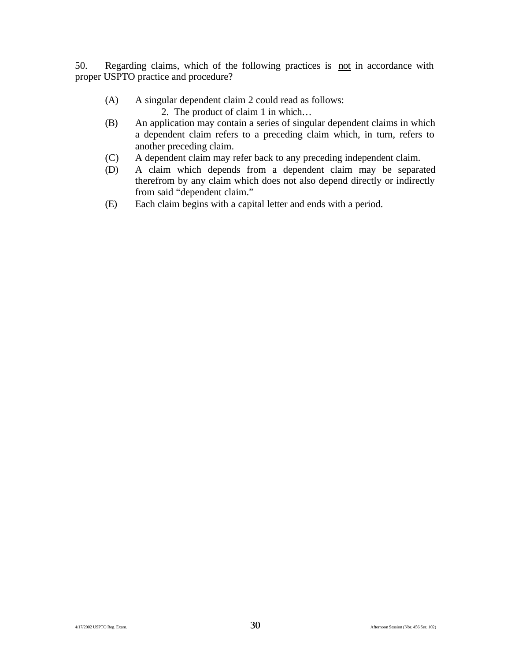50. Regarding claims, which of the following practices is not in accordance with proper USPTO practice and procedure?

- (A) A singular dependent claim 2 could read as follows: 2. The product of claim 1 in which…
- (B) An application may contain a series of singular dependent claims in which a dependent claim refers to a preceding claim which, in turn, refers to another preceding claim.
- (C) A dependent claim may refer back to any preceding independent claim.
- (D) A claim which depends from a dependent claim may be separated therefrom by any claim which does not also depend directly or indirectly from said "dependent claim."
- (E) Each claim begins with a capital letter and ends with a period.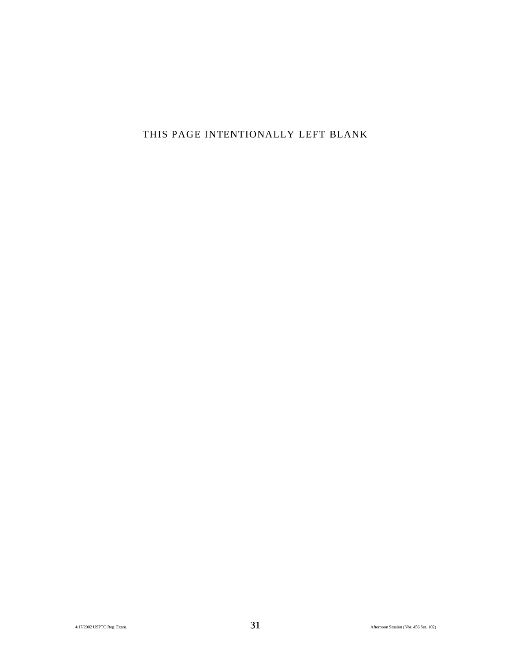THIS PAGE INTENTIONALLY LEFT BLANK